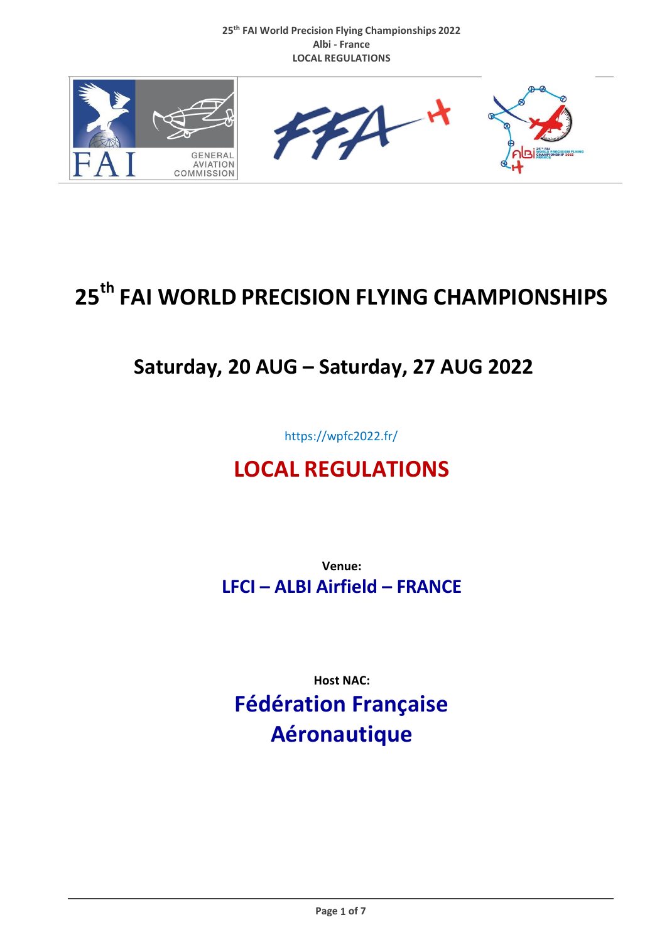

# **25 th FAI WORLD PRECISION FLYING CHAMPIONSHIPS**

# **Saturday, 20 AUG – Saturday, 27 AUG 2022**

https://wpfc2022.fr/

# **LOCAL REGULATIONS**

**Venue: LFCI – ALBI Airfield – FRANCE**

**Host NAC:**

**Fédération Française Aéronautique**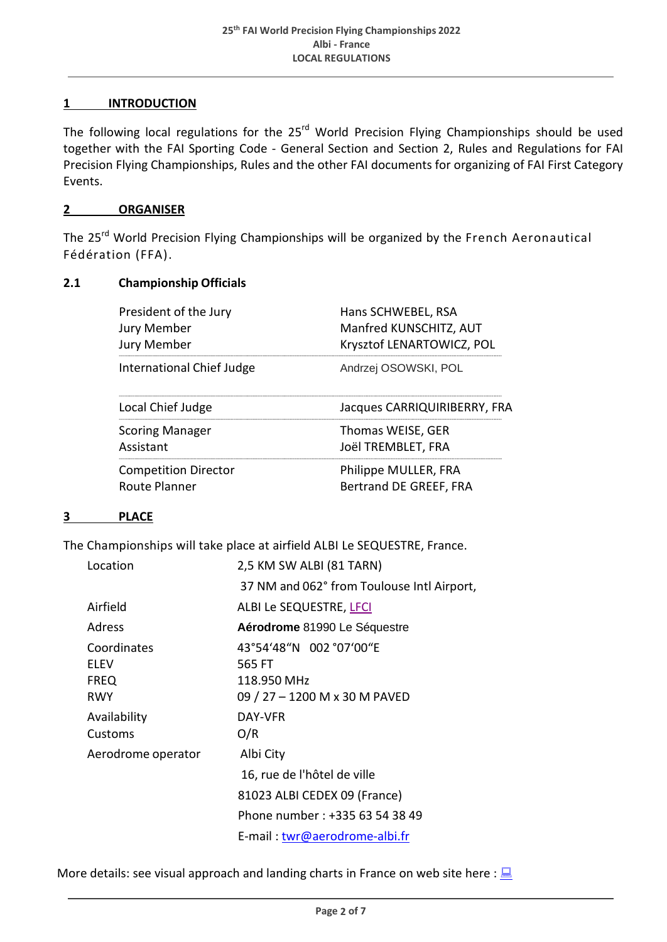# **1 INTRODUCTION**

The following local regulations for the 25<sup>rd</sup> World Precision Flying Championships should be used together with the FAI Sporting Code - General Section and Section 2, Rules and Regulations for FAI Precision Flying Championships, Rules and the other FAI documents for organizing of FAI First Category Events.

# **2 ORGANISER**

The 25<sup>rd</sup> World Precision Flying Championships will be organized by the French Aeronautical Fédération (FFA).

# **2.1 Championship Officials**

| President of the Jury<br>Jury Member<br>Jury Member | Hans SCHWEBEL, RSA<br>Manfred KUNSCHITZ, AUT<br>Krysztof LENARTOWICZ, POL |
|-----------------------------------------------------|---------------------------------------------------------------------------|
| International Chief Judge                           | Andrzej OSOWSKI, POL                                                      |
| Local Chief Judge                                   | Jacques CARRIQUIRIBERRY, FRA                                              |

| LUCAI CHICI JUUKE           | Jacques CARRIQUIRIDERRIT, FR |
|-----------------------------|------------------------------|
| <b>Scoring Manager</b>      | Thomas WEISE, GER            |
| Assistant                   | Joël TREMBLET, FRA           |
| <b>Competition Director</b> | Philippe MULLER, FRA         |
| Route Planner               | Bertrand DE GREEF, FRA       |

# **3 PLACE**

The Championships will take place at airfield ALBI Le SEQUESTRE, France.

| Location           | 2,5 KM SW ALBI (81 TARN)                   |
|--------------------|--------------------------------------------|
|                    | 37 NM and 062° from Toulouse Intl Airport, |
| Airfield           | ALBI Le SEQUESTRE, LFCI                    |
| Adress             | Aérodrome 81990 Le Séquestre               |
| Coordinates        | 43°54'48"N 002 °07'00"E                    |
| ELEV               | 565 FT                                     |
| <b>FREQ</b>        | 118.950 MHz                                |
| <b>RWY</b>         | 09 / 27 - 1200 M x 30 M PAVED              |
| Availability       | DAY-VFR                                    |
| Customs            | O/R                                        |
| Aerodrome operator | Albi City                                  |
|                    | 16, rue de l'hôtel de ville                |
|                    | 81023 ALBI CEDEX 09 (France)               |
|                    | Phone number: +335 63 54 38 49             |
|                    | E-mail: twr@aerodrome-albi.fr              |

More details: see visual approach and landing charts in France on web site here :  $\mathbf{B}$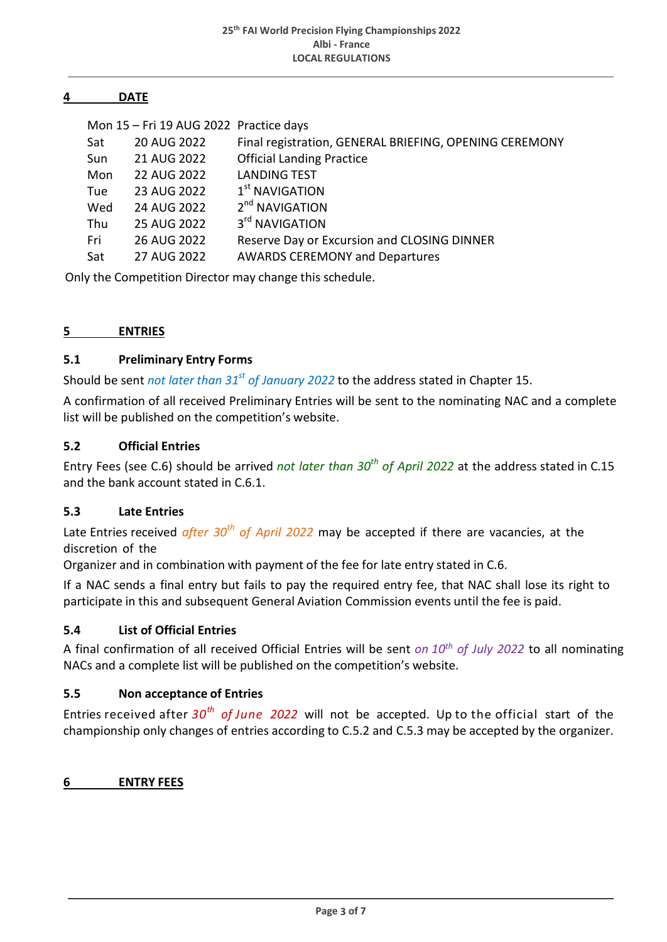# **4 DATE**

| 20 AUG 2022 | Final registration, GENERAL BRIEFING, OPENING CEREMONY |
|-------------|--------------------------------------------------------|
| 21 AUG 2022 | <b>Official Landing Practice</b>                       |
| 22 AUG 2022 | <b>LANDING TEST</b>                                    |
| 23 AUG 2022 | $1st$ NAVIGATION                                       |
| 24 AUG 2022 | 2 <sup>nd</sup> NAVIGATION                             |
| 25 AUG 2022 | 3 <sup>rd</sup> NAVIGATION                             |
| 26 AUG 2022 | Reserve Day or Excursion and CLOSING DINNER            |
| 27 AUG 2022 | <b>AWARDS CEREMONY and Departures</b>                  |
|             | Mon 15 - Fri 19 AUG 2022 Practice days                 |

Only the Competition Director may change this schedule.

# **5 ENTRIES**

# **5.1 Preliminary Entry Forms**

Should be sent *not later than 31st of January 2022* to the address stated in Chapter 15.

A confirmation of all received Preliminary Entries will be sent to the nominating NAC and a complete list will be published on the competition's website.

# **5.2 Official Entries**

Entry Fees (see C.6) should be arrived *not later than 30th of April 2022* at the address stated in C.15 and the bank account stated in C.6.1.

# **5.3 Late Entries**

Late Entries received *after 30th of April 2022* may be accepted if there are vacancies, at the discretion of the

Organizer and in combination with payment of the fee for late entry stated in C.6.

If a NAC sends a final entry but fails to pay the required entry fee, that NAC shall lose its right to participate in this and subsequent General Aviation Commission events until the fee is paid.

# **5.4 List of Official Entries**

A final confirmation of all received Official Entries will be sent *on 10th of July 2022* to all nominating NACs and a complete list will be published on the competition's website.

# **5.5 Non acceptance of Entries**

Entries received after *30th of June 2022* will not be accepted. Up to the official start of the championship only changes of entries according to C.5.2 and C.5.3 may be accepted by the organizer.

# **6 ENTRY FEES**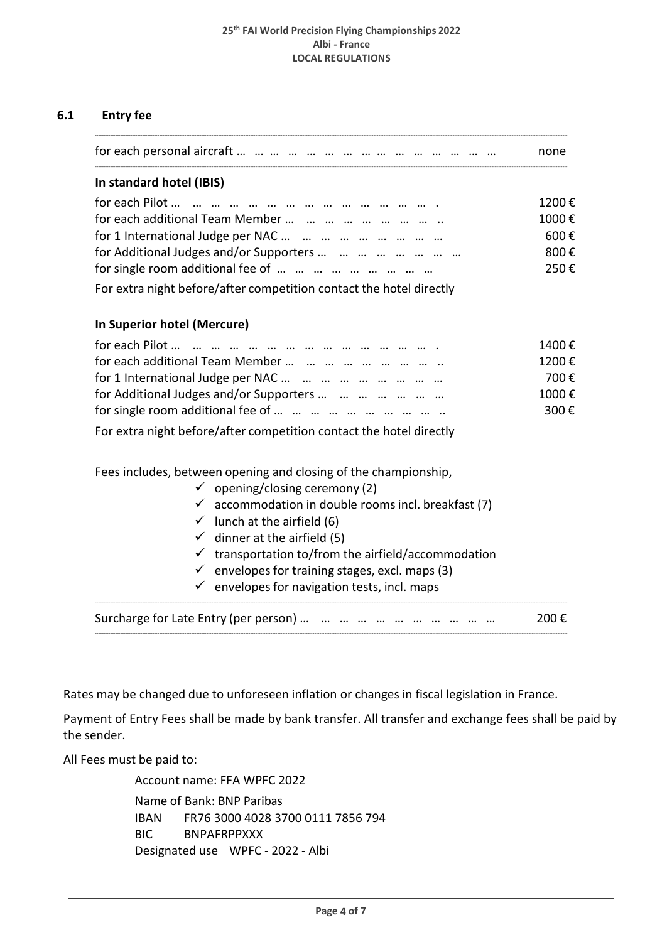# **6.1 Entry fee**

| for each personal aircraft $\ldots$ $\ldots$ $\ldots$ $\ldots$ $\ldots$ $\ldots$ $\ldots$                                                                                                                                         | none  |
|-----------------------------------------------------------------------------------------------------------------------------------------------------------------------------------------------------------------------------------|-------|
| In standard hotel (IBIS)                                                                                                                                                                                                          |       |
| for each Pilot $\ldots$ $\ldots$ $\ldots$ $\ldots$ $\ldots$ $\ldots$ $\ldots$                                                                                                                                                     | 1200€ |
|                                                                                                                                                                                                                                   | 1000€ |
| for 1 International Judge per NAC $\ldots$ $\ldots$ $\ldots$                                                                                                                                                                      | 600€  |
| for Additional Judges and/or Supporters                                                                                                                                                                                           | 800€  |
|                                                                                                                                                                                                                                   | 250€  |
| $\frac{1}{2}$ . The state of the state of the state of the state of the state of the state of the state of the state of the state of the state of the state of the state of the state of the state of the state of the state of t |       |

For extra night before/after competition contact the hotel directly

# **In Superior hotel (Mercure)**

|                                                                       | 1400€ |
|-----------------------------------------------------------------------|-------|
|                                                                       | 1200€ |
|                                                                       | 700€  |
| for Additional Judges and/or Supporters                               | 1000€ |
| for single room additional fee of $\ldots$ $\ldots$ $\ldots$ $\ldots$ | 300€  |
| For extra night before/after competition contact the hotel directly   |       |

Fees includes, between opening and closing of the championship,

- $\checkmark$  opening/closing ceremony (2)
- $\checkmark$  accommodation in double rooms incl. breakfast (7)
- $\checkmark$  lunch at the airfield (6)
- $\checkmark$  dinner at the airfield (5)
- $\checkmark$  transportation to/from the airfield/accommodation
- $\checkmark$  envelopes for training stages, excl. maps (3)
- $\checkmark$  envelopes for navigation tests, incl. maps

---------------------------------------------------------------------------------------------------------------------------------------------------------------------------------------------------------------------------------------------------------------------------------------- Surcharge for Late Entry (per person) ...  $\ldots$  ...  $\ldots$  ...  $\ldots$  ...  $\ldots$  ...  $\ldots$  200  $\epsilon$ ----------------------------------------------------------------------------------------------------------------------------------------------------------------------------------------------------------------------------------------------------------------------------------------

Rates may be changed due to unforeseen inflation or changes in fiscal legislation in France.

Payment of Entry Fees shall be made by bank transfer. All transfer and exchange fees shall be paid by the sender.

All Fees must be paid to:

Account name: FFA WPFC 2022 Name of Bank: BNP Paribas IBAN FR76 3000 4028 3700 0111 7856 794 BIC BNPAFRPPXXX Designated use WPFC - 2022 - Albi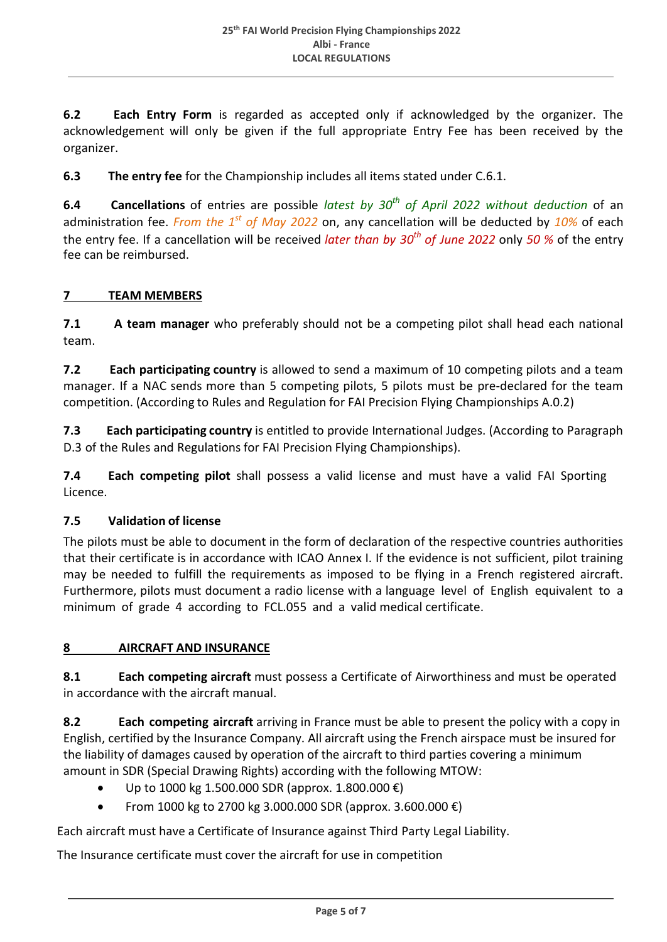**6.2 Each Entry Form** is regarded as accepted only if acknowledged by the organizer. The acknowledgement will only be given if the full appropriate Entry Fee has been received by the organizer.

**6.3 The entry fee** for the Championship includes all items stated under C.6.1.

**6.4 Cancellations** of entries are possible *latest by 30 th of April 2022 without deduction* of an administration fee. *From the 1 st of May 2022* on, any cancellation will be deducted by *10%* of each the entry fee. If a cancellation will be received *later than by 30th of June 2022* only *50 %* of the entry fee can be reimbursed.

# **7 TEAM MEMBERS**

**7.1 A team manager** who preferably should not be a competing pilot shall head each national team.

**7.2 Each participating country** is allowed to send a maximum of 10 competing pilots and a team manager. If a NAC sends more than 5 competing pilots, 5 pilots must be pre-declared for the team competition. (According to Rules and Regulation for FAI Precision Flying Championships A.0.2)

**7.3 Each participating country** is entitled to provide International Judges. (According to Paragraph D.3 of the Rules and Regulations for FAI Precision Flying Championships).

**7.4 Each competing pilot** shall possess a valid license and must have a valid FAI Sporting Licence.

# **7.5 Validation of license**

The pilots must be able to document in the form of declaration of the respective countries authorities that their certificate is in accordance with ICAO Annex I. If the evidence is not sufficient, pilot training may be needed to fulfill the requirements as imposed to be flying in a French registered aircraft. Furthermore, pilots must document a radio license with a language level of English equivalent to a minimum of grade 4 according to FCL.055 and a valid medical certificate.

# **8 AIRCRAFT AND INSURANCE**

**8.1 Each competing aircraft** must possess a Certificate of Airworthiness and must be operated in accordance with the aircraft manual.

**8.2 Each competing aircraft** arriving in France must be able to present the policy with a copy in English, certified by the Insurance Company. All aircraft using the French airspace must be insured for the liability of damages caused by operation of the aircraft to third parties covering a minimum amount in SDR (Special Drawing Rights) according with the following MTOW:

- Up to 1000 kg 1.500.000 SDR (approx. 1.800.000 €)
- From 1000 kg to 2700 kg 3.000.000 SDR (approx. 3.600.000  $\epsilon$ )

Each aircraft must have a Certificate of Insurance against Third Party Legal Liability.

The Insurance certificate must cover the aircraft for use in competition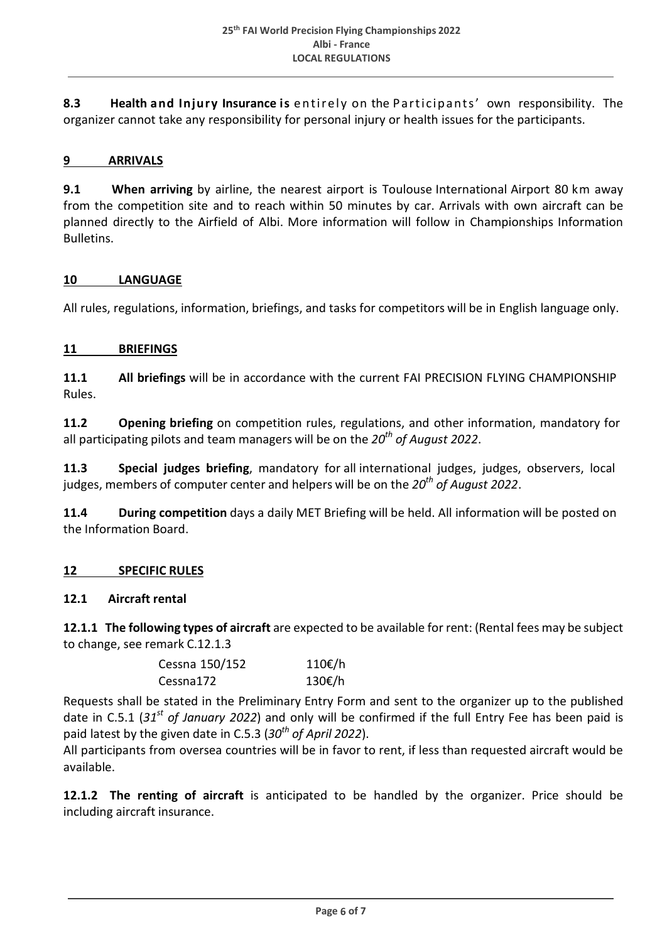**8.3** Health and Injury Insurance is entirely on the Participants' own responsibility. The organizer cannot take any responsibility for personal injury or health issues for the participants.

# **9 ARRIVALS**

**9.1** When arriving by airline, the nearest airport is Toulouse International Airport 80 km away from the competition site and to reach within 50 minutes by car. Arrivals with own aircraft can be planned directly to the Airfield of Albi. More information will follow in Championships Information Bulletins.

# **10 LANGUAGE**

All rules, regulations, information, briefings, and tasks for competitors will be in English language only.

# **11 BRIEFINGS**

**11.1 All briefings** will be in accordance with the current FAI PRECISION FLYING CHAMPIONSHIP Rules.

**11.2 Opening briefing** on competition rules, regulations, and other information, mandatory for all participating pilots and team managers will be on the *20 th of August 2022*.

**11.3 Special judges briefing**, mandatory for all international judges, judges, observers, local judges, members of computer center and helpers will be on the *20 th of August 2022*.

**11.4 During competition** days a daily MET Briefing will be held. All information will be posted on the Information Board.

# **12 SPECIFIC RULES**

# **12.1 Aircraft rental**

**12.1.1 The following types of aircraft** are expected to be available for rent: (Rental fees may be subject to change, see remark C.12.1.3

| Cessna 150/152 | 110€/h |
|----------------|--------|
| Cessna172      | 130€/h |

Requests shall be stated in the Preliminary Entry Form and sent to the organizer up to the published date in C.5.1 (*31st of January 2022*) and only will be confirmed if the full Entry Fee has been paid is paid latest by the given date in C.5.3 (*30 th of April 2022*).

All participants from oversea countries will be in favor to rent, if less than requested aircraft would be available.

**12.1.2 The renting of aircraft** is anticipated to be handled by the organizer. Price should be including aircraft insurance.